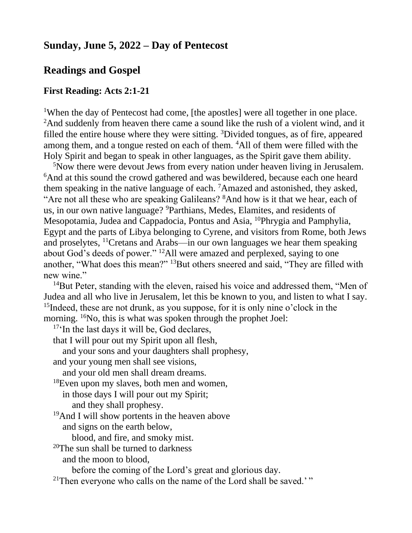# **Sunday, June 5, 2022 – Day of Pentecost**

## **Readings and Gospel**

### **First Reading: Acts 2:1-21**

<sup>1</sup>When the day of Pentecost had come, [the apostles] were all together in one place. <sup>2</sup>And suddenly from heaven there came a sound like the rush of a violent wind, and it filled the entire house where they were sitting. <sup>3</sup>Divided tongues, as of fire, appeared among them, and a tongue rested on each of them. <sup>4</sup>All of them were filled with the Holy Spirit and began to speak in other languages, as the Spirit gave them ability.

<sup>5</sup>Now there were devout Jews from every nation under heaven living in Jerusalem. <sup>6</sup>And at this sound the crowd gathered and was bewildered, because each one heard them speaking in the native language of each. <sup>7</sup>Amazed and astonished, they asked, "Are not all these who are speaking Galileans? <sup>8</sup>And how is it that we hear, each of us, in our own native language? <sup>9</sup>Parthians, Medes, Elamites, and residents of Mesopotamia, Judea and Cappadocia, Pontus and Asia, <sup>10</sup>Phrygia and Pamphylia, Egypt and the parts of Libya belonging to Cyrene, and visitors from Rome, both Jews and proselytes, <sup>11</sup>Cretans and Arabs—in our own languages we hear them speaking about God's deeds of power." <sup>12</sup>All were amazed and perplexed, saying to one another, "What does this mean?" <sup>13</sup>But others sneered and said, "They are filled with new wine."

<sup>14</sup>But Peter, standing with the eleven, raised his voice and addressed them, "Men of Judea and all who live in Jerusalem, let this be known to you, and listen to what I say. <sup>15</sup>Indeed, these are not drunk, as you suppose, for it is only nine o'clock in the morning. <sup>16</sup>No, this is what was spoken through the prophet Joel:

<sup>17</sup>'In the last days it will be, God declares,

that I will pour out my Spirit upon all flesh,

and your sons and your daughters shall prophesy,

and your young men shall see visions,

and your old men shall dream dreams.

 $18$ Even upon my slaves, both men and women,

in those days I will pour out my Spirit;

and they shall prophesy.

 $19$ And I will show portents in the heaven above

and signs on the earth below,

blood, and fire, and smoky mist.

 $20$ The sun shall be turned to darkness and the moon to blood,

before the coming of the Lord's great and glorious day.

 $21$ Then everyone who calls on the name of the Lord shall be saved.'"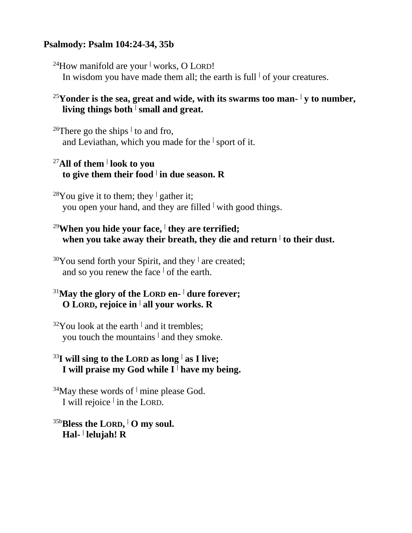### **Psalmody: Psalm 104:24-34, 35b**

<sup>24</sup>How manifold are your **<sup>|</sup>** works, O LORD! In wisdom you have made them all; the earth is full  $\vert$  of your creatures.

## <sup>25</sup>**Yonder is the sea, great and wide, with its swarms too man- <sup>|</sup> y to number, living things both <sup>|</sup> small and great.**

<sup>26</sup>There go the ships **<sup>|</sup>** to and fro, and Leviathan, which you made for the **<sup>|</sup>** sport of it.

## <sup>27</sup>**All of them <sup>|</sup> look to you to give them their food <sup>|</sup> in due season. R**

<sup>28</sup>You give it to them; they <sup> $\vert$ </sup> gather it; you open your hand, and they are filled **<sup>|</sup>** with good things.

# <sup>29</sup>**When you hide your face, <sup>|</sup> they are terrified; when you take away their breath, they die and return <sup>|</sup> to their dust.**

<sup>30</sup>You send forth your Spirit, and they **<sup>|</sup>** are created; and so you renew the face **<sup>|</sup>** of the earth.

## <sup>31</sup>**May the glory of the LORD en- <sup>|</sup> dure forever; O LORD, rejoice in <sup>|</sup> all your works. R**

<sup>32</sup>You look at the earth **<sup>|</sup>** and it trembles; you touch the mountains **<sup>|</sup>** and they smoke.

# <sup>33</sup>**I will sing to the LORD as long <sup>|</sup> as I live; I will praise my God while I <sup>|</sup> have my being.**

<sup>34</sup>May these words of **<sup>|</sup>** mine please God. I will rejoice **<sup>|</sup>** in the LORD.

35b**Bless the LORD, <sup>|</sup> O my soul. Hal- | lelujah! R**